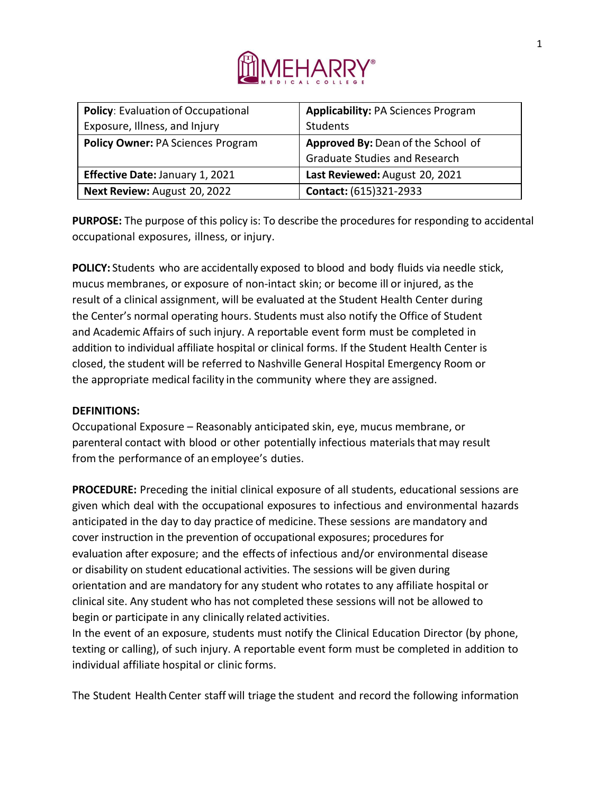

| <b>Policy: Evaluation of Occupational</b> | <b>Applicability: PA Sciences Program</b> |
|-------------------------------------------|-------------------------------------------|
| Exposure, Illness, and Injury             | <b>Students</b>                           |
| <b>Policy Owner: PA Sciences Program</b>  | Approved By: Dean of the School of        |
|                                           | <b>Graduate Studies and Research</b>      |
| <b>Effective Date: January 1, 2021</b>    | Last Reviewed: August 20, 2021            |
| Next Review: August 20, 2022              | Contact: (615)321-2933                    |

**PURPOSE:** The purpose of this policy is: To describe the procedures for responding to accidental occupational exposures, illness, or injury.

**POLICY:** Students who are accidentally exposed to blood and body fluids via needle stick, mucus membranes, or exposure of non-intact skin; or become ill or injured, as the result of a clinical assignment, will be evaluated at the Student Health Center during the Center's normal operating hours. Students must also notify the Office of Student and Academic Affairs of such injury. A reportable event form must be completed in addition to individual affiliate hospital or clinical forms. If the Student Health Center is closed, the student will be referred to Nashville General Hospital Emergency Room or the appropriate medical facility in the community where they are assigned.

### **DEFINITIONS:**

Occupational Exposure – Reasonably anticipated skin, eye, mucus membrane, or parenteral contact with blood or other potentially infectious materials that may result from the performance of an employee's duties.

**PROCEDURE:** Preceding the initial clinical exposure of all students, educational sessions are given which deal with the occupational exposures to infectious and environmental hazards anticipated in the day to day practice of medicine. These sessions are mandatory and cover instruction in the prevention of occupational exposures; procedures for evaluation after exposure; and the effects of infectious and/or environmental disease or disability on student educational activities. The sessions will be given during orientation and are mandatory for any student who rotates to any affiliate hospital or clinical site. Any student who has not completed these sessions will not be allowed to begin or participate in any clinically related activities.

In the event of an exposure, students must notify the Clinical Education Director (by phone, texting or calling), of such injury. A reportable event form must be completed in addition to individual affiliate hospital or clinic forms.

The Student Health Center staff will triage the student and record the following information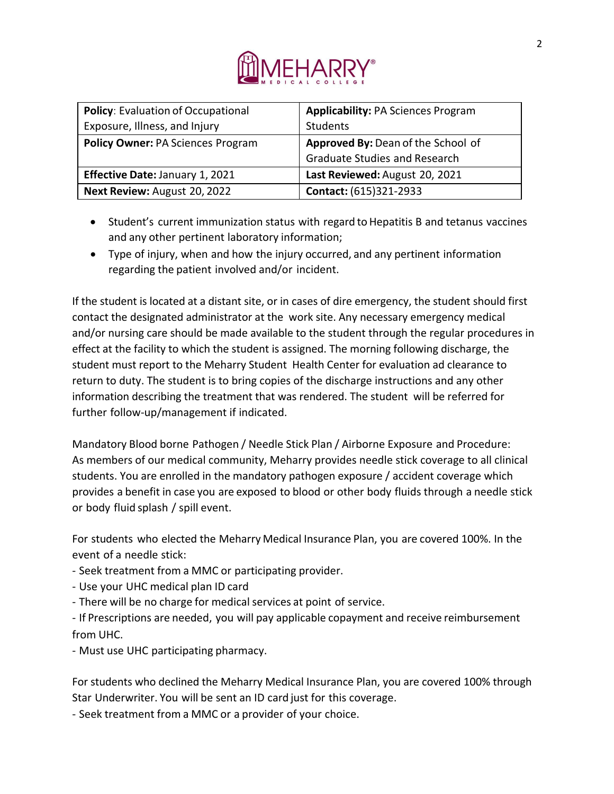

| <b>Policy: Evaluation of Occupational</b>                                      | <b>Applicability: PA Sciences Program</b> |
|--------------------------------------------------------------------------------|-------------------------------------------|
| Exposure, Illness, and Injury                                                  | Students                                  |
| Approved By: Dean of the School of<br><b>Policy Owner: PA Sciences Program</b> |                                           |
|                                                                                | <b>Graduate Studies and Research</b>      |
| <b>Effective Date: January 1, 2021</b>                                         | Last Reviewed: August 20, 2021            |
| Next Review: August 20, 2022                                                   | Contact: (615)321-2933                    |

- Student's current immunization status with regard to Hepatitis B and tetanus vaccines and any other pertinent laboratory information;
- Type of injury, when and how the injury occurred, and any pertinent information regarding the patient involved and/or incident.

If the student is located at a distant site, or in cases of dire emergency, the student should first contact the designated administrator at the work site. Any necessary emergency medical and/or nursing care should be made available to the student through the regular procedures in effect at the facility to which the student is assigned. The morning following discharge, the student must report to the Meharry Student Health Center for evaluation ad clearance to return to duty. The student is to bring copies of the discharge instructions and any other information describing the treatment that was rendered. The student will be referred for further follow-up/management if indicated.

Mandatory Blood borne Pathogen / Needle Stick Plan / Airborne Exposure and Procedure: As members of our medical community, Meharry provides needle stick coverage to all clinical students. You are enrolled in the mandatory pathogen exposure / accident coverage which provides a benefit in case you are exposed to blood or other body fluids through a needle stick or body fluid splash / spill event.

For students who elected the Meharry Medical Insurance Plan, you are covered 100%. In the event of a needle stick:

- Seek treatment from a MMC or participating provider.
- Use your UHC medical plan ID card
- There will be no charge for medical services at point of service.

- If Prescriptions are needed, you will pay applicable copayment and receive reimbursement from UHC.

- Must use UHC participating pharmacy.

For students who declined the Meharry Medical Insurance Plan, you are covered 100% through Star Underwriter. You will be sent an ID card just for this coverage.

- Seek treatment from a MMC or a provider of your choice.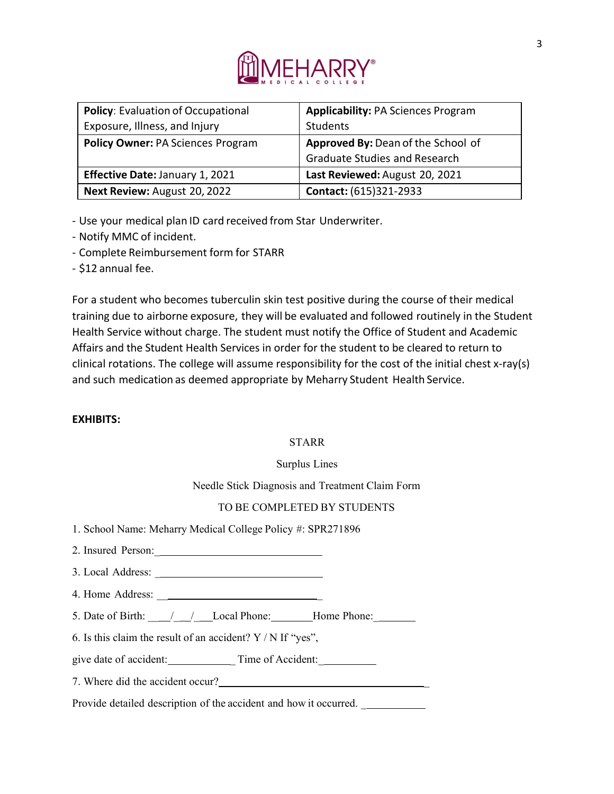

| <b>Policy: Evaluation of Occupational</b> | <b>Applicability: PA Sciences Program</b> |  |
|-------------------------------------------|-------------------------------------------|--|
| Exposure, Illness, and Injury             | Students                                  |  |
| <b>Policy Owner: PA Sciences Program</b>  | Approved By: Dean of the School of        |  |
|                                           | <b>Graduate Studies and Research</b>      |  |
| Effective Date: January 1, 2021           | Last Reviewed: August 20, 2021            |  |
| Next Review: August 20, 2022              | Contact: (615)321-2933                    |  |

- Use your medical plan ID card received from Star Underwriter.

- Notify MMC of incident.
- Complete Reimbursement form for STARR
- \$12 annual fee.

For a student who becomes tuberculin skin test positive during the course of their medical training due to airborne exposure, they will be evaluated and followed routinely in the Student Health Service without charge. The student must notify the Office of Student and Academic Affairs and the Student Health Services in order for the student to be cleared to return to clinical rotations. The college will assume responsibility for the cost of the initial chest x-ray(s) and such medication as deemed appropriate by Meharry Student Health Service.

### **EXHIBITS:**

#### STARR

Surplus Lines

Needle Stick Diagnosis and Treatment Claim Form

### TO BE COMPLETED BY STUDENTS

1. School Name: Meharry Medical College Policy #: SPR271896

| 2. Insured Person: |  |
|--------------------|--|
|                    |  |

3. Local Address: \_

4. Home Address: \_\_ \_

5. Date of Birth:  $\frac{1}{2}$  / Local Phone: Home Phone:

6. Is this claim the result of an accident?  $Y / N$  If "yes",

give date of accident: Time of Accident:

7. Where did the accident occur? \_

Provide detailed description of the accident and how it occurred.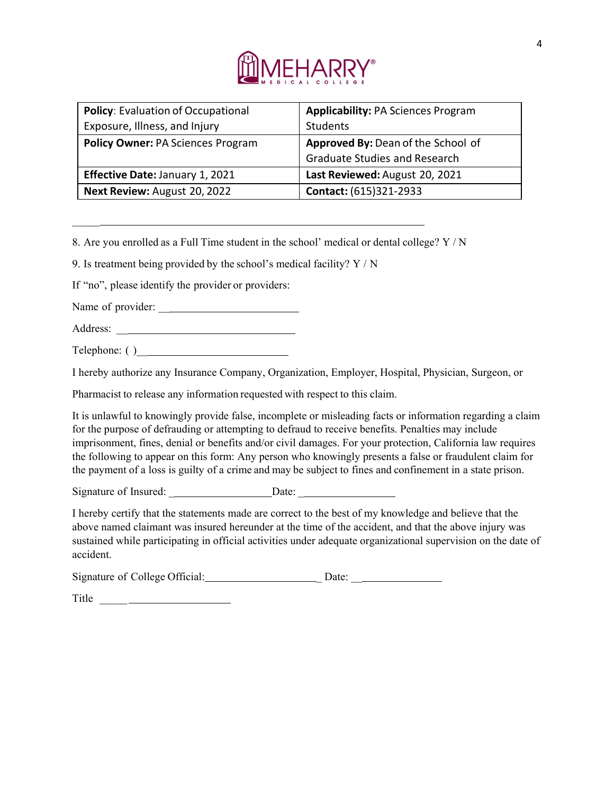

| Policy: Evaluation of Occupational       | <b>Applicability: PA Sciences Program</b><br>Students |
|------------------------------------------|-------------------------------------------------------|
| Exposure, Illness, and Injury            |                                                       |
| <b>Policy Owner: PA Sciences Program</b> | Approved By: Dean of the School of                    |
|                                          | <b>Graduate Studies and Research</b>                  |
| <b>Effective Date: January 1, 2021</b>   | Last Reviewed: August 20, 2021                        |
| Next Review: August 20, 2022             | Contact: (615)321-2933                                |

8. Are you enrolled as a Full Time student in the school' medical or dental college? Y / N

9. Is treatment being provided by the school's medical facility? Y / N

If "no", please identify the provider or providers:

Name of provider: \_\_

 $\mathcal{L}$ 

Address: \_\_

Telephone: ( )\_\_

I hereby authorize any Insurance Company, Organization, Employer, Hospital, Physician, Surgeon, or

Pharmacist to release any information requested with respect to this claim.

It is unlawful to knowingly provide false, incomplete or misleading facts or information regarding a claim for the purpose of defrauding or attempting to defraud to receive benefits. Penalties may include imprisonment, fines, denial or benefits and/or civil damages. For your protection, California law requires the following to appear on this form: Any person who knowingly presents a false or fraudulent claim for the payment of a loss is guilty of a crime and may be subject to fines and confinement in a state prison.

| Signature of Insured: | Date: |
|-----------------------|-------|
|                       |       |

I hereby certify that the statements made are correct to the best of my knowledge and believe that the above named claimant was insured hereunder at the time of the accident, and that the above injury was sustained while participating in official activities under adequate organizational supervision on the date of accident.

| Signature of College Official: | Date: |
|--------------------------------|-------|
|                                |       |

Title \_\_\_\_\_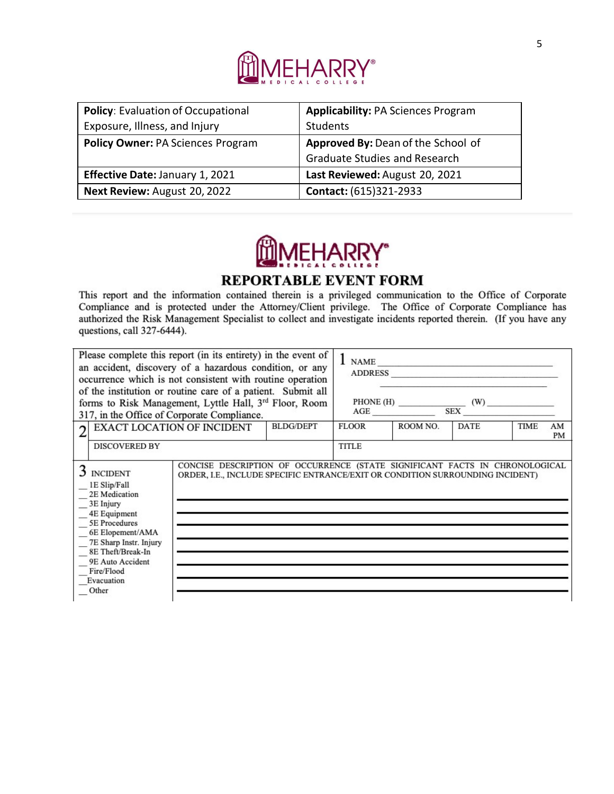

| <b>Policy: Evaluation of Occupational</b> | <b>Applicability: PA Sciences Program</b> |
|-------------------------------------------|-------------------------------------------|
| Exposure, Illness, and Injury             | Students                                  |
| <b>Policy Owner: PA Sciences Program</b>  | Approved By: Dean of the School of        |
|                                           | <b>Graduate Studies and Research</b>      |
| <b>Effective Date: January 1, 2021</b>    | Last Reviewed: August 20, 2021            |
| Next Review: August 20, 2022              | Contact: (615)321-2933                    |

# **FHARRY**

## **REPORTABLE EVENT FORM**

This report and the information contained therein is a privileged communication to the Office of Corporate Compliance and is protected under the Attorney/Client privilege. The Office of Corporate Compliance has authorized the Risk Management Specialist to collect and investigate incidents reported therein. (If you have any questions, call 327-6444).

| Please complete this report (in its entirety) in the event of<br>an accident, discovery of a hazardous condition, or any<br>occurrence which is not consistent with routine operation<br>of the institution or routine care of a patient. Submit all<br>forms to Risk Management, Lyttle Hall, 3rd Floor, Room<br>317, in the Office of Corporate Compliance.                          |  |       |              | $1$ NAME<br>ADDRESS |             |                 |  |
|----------------------------------------------------------------------------------------------------------------------------------------------------------------------------------------------------------------------------------------------------------------------------------------------------------------------------------------------------------------------------------------|--|-------|--------------|---------------------|-------------|-----------------|--|
| <b>BLDG/DEPT</b><br>EXACT LOCATION OF INCIDENT<br>C                                                                                                                                                                                                                                                                                                                                    |  | FLOOR | ROOM NO.     | <b>DATE</b>         | <b>TIME</b> | AM<br><b>PM</b> |  |
| <b>DISCOVERED BY</b>                                                                                                                                                                                                                                                                                                                                                                   |  |       | <b>TITLE</b> |                     |             |                 |  |
| CONCISE DESCRIPTION OF OCCURRENCE (STATE SIGNIFICANT FACTS IN CHRONOLOGICAL<br>3 INCIDENT<br>ORDER, I.E., INCLUDE SPECIFIC ENTRANCE/EXIT OR CONDITION SURROUNDING INCIDENT)<br>1E Slip/Fall<br>2E Medication<br>3E Injury<br>4E Equipment<br>5E Procedures<br>6E Elopement/AMA<br>7E Sharp Instr. Injury<br>8E Theft/Break-In<br>9E Auto Accident<br>Fire/Flood<br>Evacuation<br>Other |  |       |              |                     |             |                 |  |